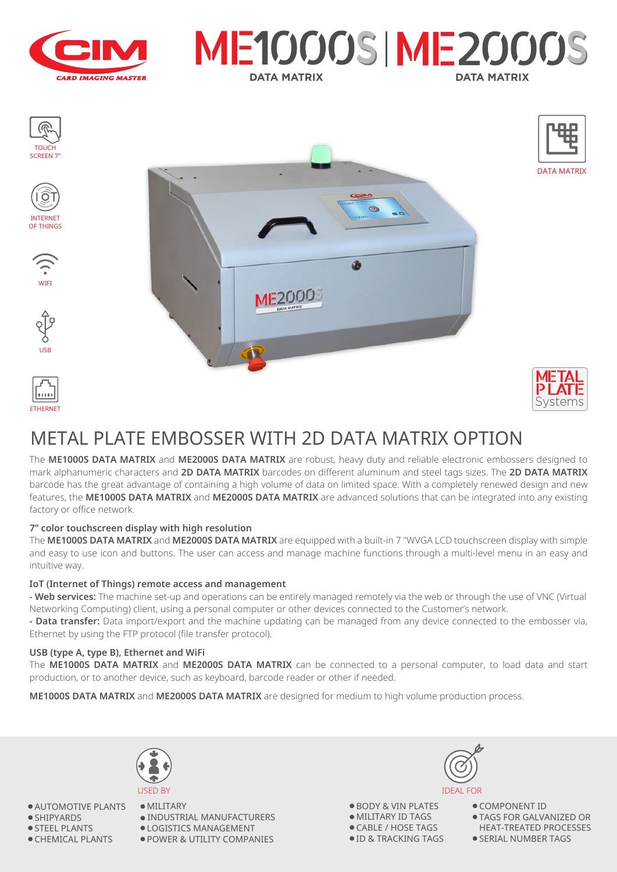





# METAL PLATE EMBOSSER WITH 2D DATA MATRIX OPTION

The **ME1000S DATA MATRIX** and **ME2000S DATA MATRIX** are robust, heavy duty and reliable electronic embossers designed to mark alphanumeric characters and **2D DATA MATRIX** barcodes on different aluminum and steel tags sizes. The **2D DATA MATRIX** barcode has the great advantage of containing a high volume of data on limited space. With a completely renewed design and new features, the **ME1000S DATA MATRIX** and **ME2000S DATA MATRIX** are advanced solutions that can be integrated into any existing factory or office network.

### **7" color touchscreen display with high resolution**

The **ME1000S DATA MATRIX** and **ME2000S DATA MATRIX** are equipped with a built-in 7 "WVGA LCD touchscreen display with simple and easy to use icon and buttons. The user can access and manage machine functions through a multi-level menu in an easy and intuitive way.

#### **IoT (Internet of Things) remote access and management**

**- Web services:** The machine set-up and operations can be entirely managed remotely via the web or through the use of VNC (Virtual Networking Computing) client, using a personal computer or other devices connected to the Customer's network.

**- Data transfer:** Data import/export and the machine updating can be managed from any device connected to the embosser via, Ethernet by using the FTP protocol (file transfer protocol).

#### **USB (type A, type B), Ethernet and WiFi**

The **ME1000S DATA MATRIX** and **ME2000S DATA MATRIX** can be connected to a personal computer, to load data and start production, or to another device, such as keyboard, barcode reader or other if needed.

**ME1000S DATA MATRIX** and **ME2000S DATA MATRIX** are designed for medium to high volume production process.



● AUTOMOTIVE PLANTS

- SHIPYARDS
- STEEL PLANTS
- CHEMICAL PLANTS



● MILITARY  $\bullet$  INDUSTRIAL MANUFACTURERS

● LOGISTICS MANAGEMENT

● POWER & UTILITY COMPANIES



● BODY & VIN PLATES ● MILITARY ID TAGS ● CABLE / HOSE TAGS ● ID & TRACKING TAGS

● COMPONENT ID

- TAGS FOR GALVANIZED OR HEAT-TREATED PROCESSES
- SERIAL NUMBER TAGS